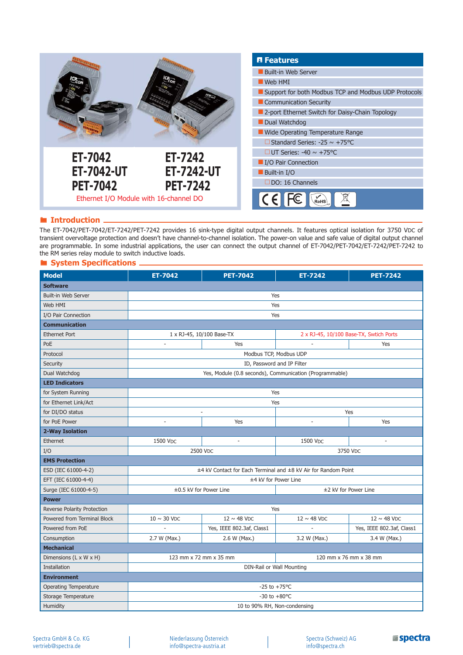

### **Introduction**

The ET-7042/PET-7042/ET-7242/PET-7242 provides 16 sink-type digital output channels. It features optical isolation for 3750 VDC of transient overvoltage protection and doesn't have channel-to-channel isolation. The power-on value and safe value of digital output channel are programmable. In some industrial applications, the user can connect the output channel of ET-7042/PET-7042/ET-7242/PET-7242 to the RM series relay module to switch inductive loads.

#### **System Specifications**.

| <b>Model</b>                       | ET-7042                                                        | <b>PET-7042</b>           | <b>ET-7242</b>                          | <b>PET-7242</b>           |
|------------------------------------|----------------------------------------------------------------|---------------------------|-----------------------------------------|---------------------------|
| <b>Software</b>                    |                                                                |                           |                                         |                           |
| Built-in Web Server                | Yes                                                            |                           |                                         |                           |
| Web HMI                            | Yes                                                            |                           |                                         |                           |
| I/O Pair Connection                | Yes                                                            |                           |                                         |                           |
| <b>Communication</b>               |                                                                |                           |                                         |                           |
| <b>Ethernet Port</b>               | 1 x RJ-45, 10/100 Base-TX                                      |                           | 2 x RJ-45, 10/100 Base-TX, Swtich Ports |                           |
| PoE                                | ÷,                                                             | Yes                       |                                         | Yes                       |
| Protocol                           | Modbus TCP, Modbus UDP                                         |                           |                                         |                           |
| Security                           | ID, Password and IP Filter                                     |                           |                                         |                           |
| Dual Watchdog                      | Yes, Module (0.8 seconds), Communication (Programmable)        |                           |                                         |                           |
| <b>LED Indicators</b>              |                                                                |                           |                                         |                           |
| for System Running                 | Yes                                                            |                           |                                         |                           |
| for Ethernet Link/Act              | Yes                                                            |                           |                                         |                           |
| for DI/DO status                   | Yes                                                            |                           |                                         |                           |
| for PoE Power                      |                                                                | Yes                       |                                         | Yes                       |
| 2-Way Isolation                    |                                                                |                           |                                         |                           |
| Ethernet                           | 1500 VDC                                                       | $\overline{\phantom{a}}$  | 1500 VDC                                | $\overline{\phantom{a}}$  |
| I/O                                | 2500 VDC                                                       |                           | 3750 VDC                                |                           |
| <b>EMS Protection</b>              |                                                                |                           |                                         |                           |
| ESD (IEC 61000-4-2)                | ±4 kV Contact for Each Terminal and ±8 kV Air for Random Point |                           |                                         |                           |
| EFT (IEC 61000-4-4)                | ±4 kV for Power Line                                           |                           |                                         |                           |
| Surge (IEC 61000-4-5)              | ±0.5 kV for Power Line                                         |                           | ±2 kV for Power Line                    |                           |
| <b>Power</b>                       |                                                                |                           |                                         |                           |
| Reverse Polarity Protection        | Yes                                                            |                           |                                         |                           |
| Powered from Terminal Block        | $10 \sim 30$ VDC                                               | $12 \sim 48$ VDC          | $12 \sim 48$ VDC                        | $12 \sim 48$ VDC          |
| Powered from PoE                   |                                                                | Yes, IEEE 802.3af, Class1 | L,                                      | Yes, IEEE 802.3af, Class1 |
| Consumption                        | 2.7 W (Max.)                                                   | 2.6 W (Max.)              | 3.2 W (Max.)                            | 3.4 W (Max.)              |
| <b>Mechanical</b>                  |                                                                |                           |                                         |                           |
| Dimensions $(L \times W \times H)$ | 123 mm x 72 mm x 35 mm                                         |                           | 120 mm x 76 mm x 38 mm                  |                           |
| Installation                       | DIN-Rail or Wall Mounting                                      |                           |                                         |                           |
| <b>Environment</b>                 |                                                                |                           |                                         |                           |
| <b>Operating Temperature</b>       | $-25$ to $+75^{\circ}$ C                                       |                           |                                         |                           |
| Storage Temperature                | $-30$ to $+80$ °C                                              |                           |                                         |                           |
| Humidity                           | 10 to 90% RH, Non-condensing                                   |                           |                                         |                           |